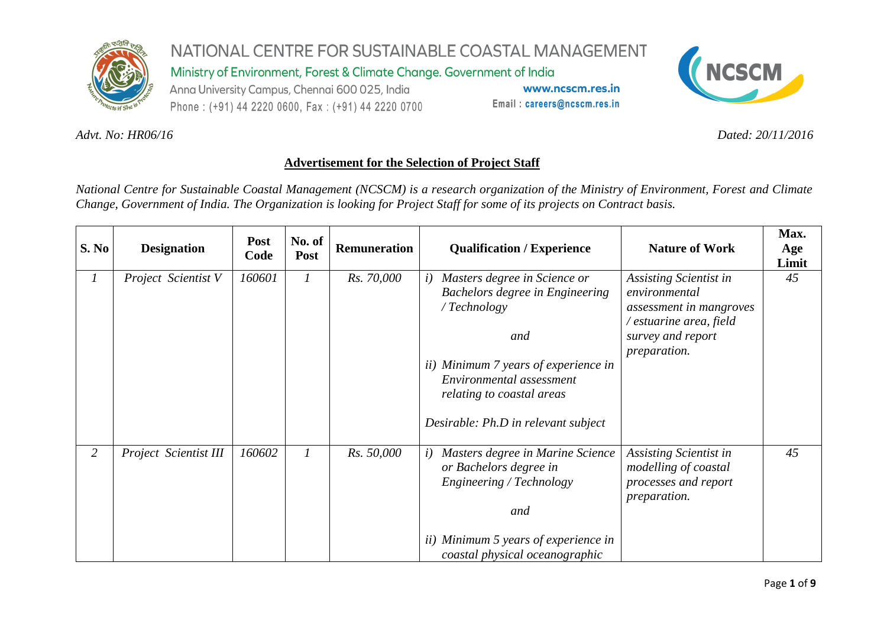

Ministry of Environment, Forest & Climate Change. Government of India

Anna University Campus, Chennai 600 025, India Phone: (+91) 44 2220 0600, Fax: (+91) 44 2220 0700

www.ncscm.res.in Email: careers@ncscm.res.in



*Advt. No: HR06/16 Dated: 20/11/2016*

#### **Advertisement for the Selection of Project Staff**

*National Centre for Sustainable Coastal Management (NCSCM) is a research organization of the Ministry of Environment, Forest and Climate Change, Government of India. The Organization is looking for Project Staff for some of its projects on Contract basis.*

| S. No          | <b>Designation</b>    | <b>Post</b><br>Code | No. of<br>Post | <b>Remuneration</b> | <b>Qualification / Experience</b>                                                                                                                                                                                                   | <b>Nature of Work</b>                                                                                                              | Max.<br>Age<br>Limit |
|----------------|-----------------------|---------------------|----------------|---------------------|-------------------------------------------------------------------------------------------------------------------------------------------------------------------------------------------------------------------------------------|------------------------------------------------------------------------------------------------------------------------------------|----------------------|
| $\overline{I}$ | Project Scientist V   | 160601              |                | Rs. 70,000          | Masters degree in Science or<br>i)<br>Bachelors degree in Engineering<br>/Technology<br>and<br>ii) Minimum 7 years of experience in<br>Environmental assessment<br>relating to coastal areas<br>Desirable: Ph.D in relevant subject | Assisting Scientist in<br>environmental<br>assessment in mangroves<br>/ estuarine area, field<br>survey and report<br>preparation. | 45                   |
| 2              | Project Scientist III | 160602              |                | Rs. 50,000          | Masters degree in Marine Science<br>$\iota$<br>or Bachelors degree in<br>Engineering / Technology<br>and<br>ii) Minimum 5 years of experience in<br>coastal physical oceanographic                                                  | Assisting Scientist in<br>modelling of coastal<br>processes and report<br>preparation.                                             | 45                   |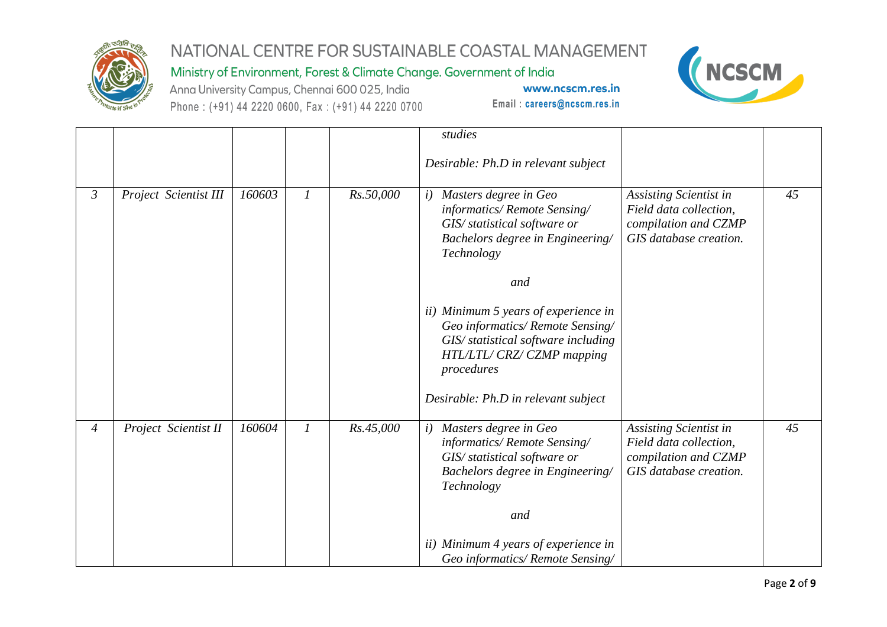

Ministry of Environment, Forest & Climate Change. Government of India

Anna University Campus, Chennai 600 025, India Phone: (+91) 44 2220 0600, Fax: (+91) 44 2220 0700



|                |                       |        |   |                  | studies                                                                                                                                                                                           |                                                                                                    |    |
|----------------|-----------------------|--------|---|------------------|---------------------------------------------------------------------------------------------------------------------------------------------------------------------------------------------------|----------------------------------------------------------------------------------------------------|----|
|                |                       |        |   |                  | Desirable: Ph.D in relevant subject                                                                                                                                                               |                                                                                                    |    |
| $\mathfrak{Z}$ | Project Scientist III | 160603 | 1 | <i>Rs.50,000</i> | Masters degree in Geo<br>i)<br>informatics/Remote Sensing/<br>GIS/ statistical software or<br>Bachelors degree in Engineering/<br>Technology<br>and                                               | Assisting Scientist in<br>Field data collection,<br>compilation and CZMP<br>GIS database creation. | 45 |
|                |                       |        |   |                  | ii) Minimum 5 years of experience in<br>Geo informatics/Remote Sensing/<br>GIS/ statistical software including<br>HTL/LTL/ CRZ/ CZMP mapping<br>procedures<br>Desirable: Ph.D in relevant subject |                                                                                                    |    |
| $\overline{4}$ | Project Scientist II  | 160604 | 1 | <i>Rs.45,000</i> | Masters degree in Geo<br>i)<br>informatics/Remote Sensing/<br>GIS/ statistical software or<br>Bachelors degree in Engineering/<br>Technology                                                      | Assisting Scientist in<br>Field data collection,<br>compilation and CZMP<br>GIS database creation. | 45 |
|                |                       |        |   |                  | and                                                                                                                                                                                               |                                                                                                    |    |
|                |                       |        |   |                  | ii) Minimum 4 years of experience in<br>Geo informatics/Remote Sensing/                                                                                                                           |                                                                                                    |    |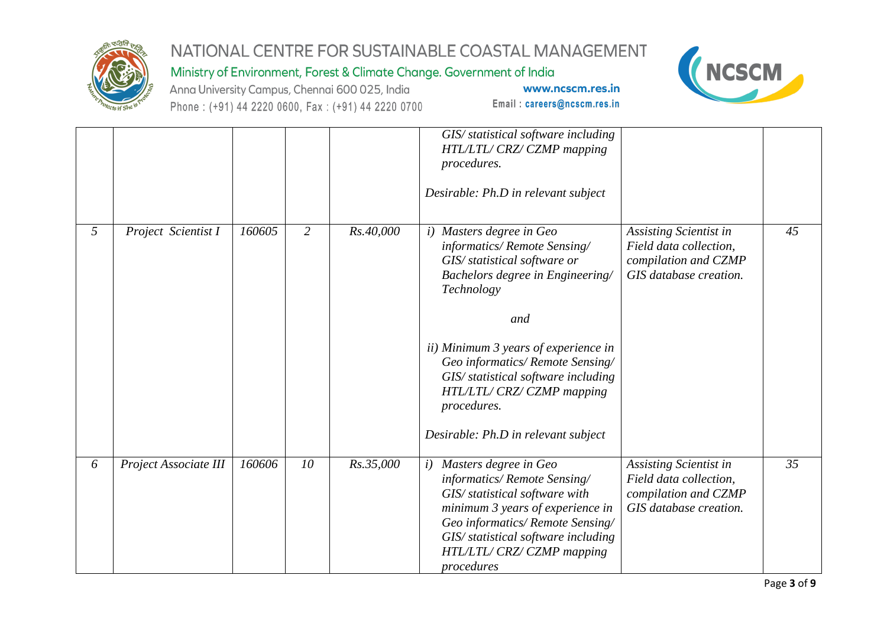

Ministry of Environment, Forest & Climate Change. Government of India

Anna University Campus, Chennai 600 025, India Phone: (+91) 44 2220 0600, Fax: (+91) 44 2220 0700

www.ncscm.res.in Email: careers@ncscm.res.in



|                |                       |        |                |           | GIS/ statistical software including<br>HTL/LTL/ CRZ/ CZMP mapping<br>procedures.<br>Desirable: Ph.D in relevant subject                                                                                                                                                                                                                                |                                                                                                    |    |
|----------------|-----------------------|--------|----------------|-----------|--------------------------------------------------------------------------------------------------------------------------------------------------------------------------------------------------------------------------------------------------------------------------------------------------------------------------------------------------------|----------------------------------------------------------------------------------------------------|----|
| 5 <sup>5</sup> | Project Scientist I   | 160605 | $\overline{2}$ | Rs.40,000 | i) Masters degree in Geo<br>informatics/Remote Sensing/<br>GIS/ statistical software or<br>Bachelors degree in Engineering/<br>Technology<br>and<br>ii) Minimum 3 years of experience in<br>Geo informatics/Remote Sensing/<br>GIS/ statistical software including<br>HTL/LTL/ CRZ/ CZMP mapping<br>procedures.<br>Desirable: Ph.D in relevant subject | Assisting Scientist in<br>Field data collection,<br>compilation and CZMP<br>GIS database creation. | 45 |
| 6              | Project Associate III | 160606 | 10             | Rs.35,000 | Masters degree in Geo<br>$\left(i\right)$<br>informatics/Remote Sensing/<br>GIS/ statistical software with<br>minimum 3 years of experience in<br>Geo informatics/Remote Sensing/<br>GIS/ statistical software including<br>HTL/LTL/ CRZ/ CZMP mapping<br>procedures                                                                                   | Assisting Scientist in<br>Field data collection,<br>compilation and CZMP<br>GIS database creation. | 35 |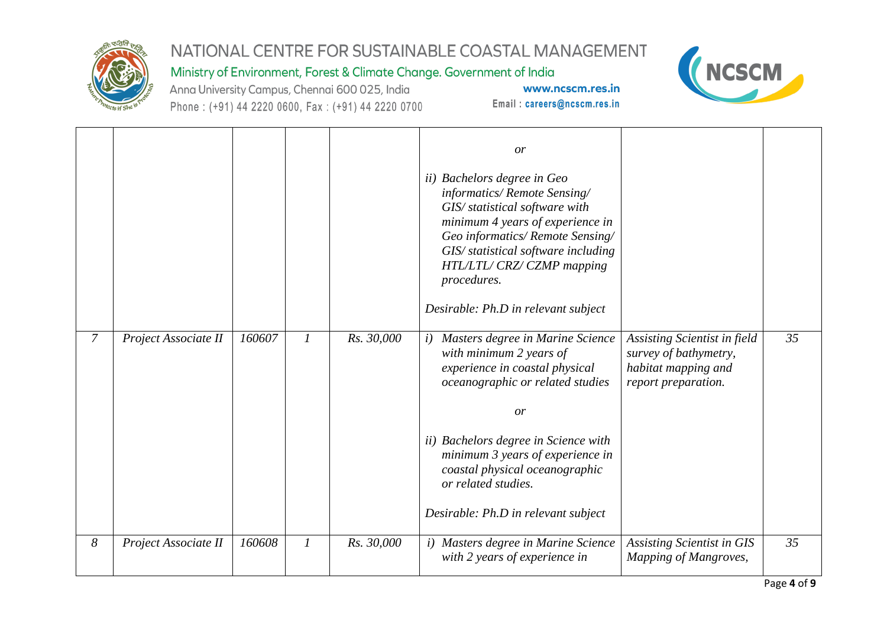

Ministry of Environment, Forest & Climate Change. Government of India

Anna University Campus, Chennai 600 025, India Phone: (+91) 44 2220 0600, Fax: (+91) 44 2220 0700



|   |                      |        |               |            | or<br><i>ii</i> ) Bachelors degree in Geo<br>informatics/Remote Sensing/<br>GIS/ statistical software with<br>minimum 4 years of experience in<br>Geo informatics/Remote Sensing/<br>GIS/ statistical software including<br>HTL/LTL/ CRZ/ CZMP mapping<br>procedures.<br>Desirable: Ph.D in relevant subject              |                                                                                                     |    |
|---|----------------------|--------|---------------|------------|---------------------------------------------------------------------------------------------------------------------------------------------------------------------------------------------------------------------------------------------------------------------------------------------------------------------------|-----------------------------------------------------------------------------------------------------|----|
| 7 | Project Associate II | 160607 | $\mathcal{I}$ | Rs. 30,000 | Masters degree in Marine Science<br>i)<br>with minimum 2 years of<br>experience in coastal physical<br>oceanographic or related studies<br>or<br>ii) Bachelors degree in Science with<br>minimum 3 years of experience in<br>coastal physical oceanographic<br>or related studies.<br>Desirable: Ph.D in relevant subject | Assisting Scientist in field<br>survey of bathymetry,<br>habitat mapping and<br>report preparation. | 35 |
| 8 | Project Associate II | 160608 | 1             | Rs. 30,000 | i) Masters degree in Marine Science<br>with 2 years of experience in                                                                                                                                                                                                                                                      | Assisting Scientist in GIS<br>Mapping of Mangroves,                                                 | 35 |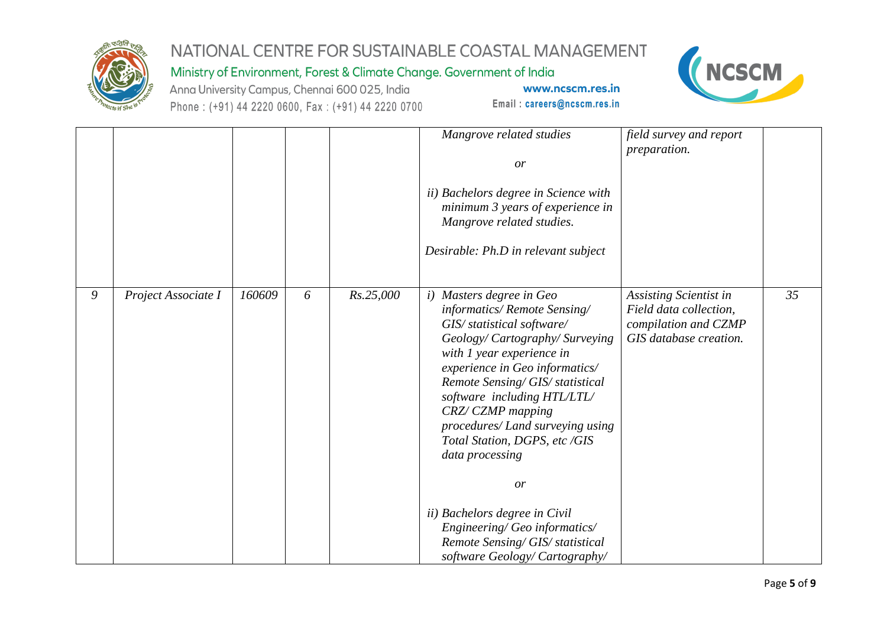

Ministry of Environment, Forest & Climate Change. Government of India

Anna University Campus, Chennai 600 025, India Phone: (+91) 44 2220 0600, Fax: (+91) 44 2220 0700



|   |                     |        |   |                  | Mangrove related studies<br>or<br>ii) Bachelors degree in Science with<br>minimum 3 years of experience in<br>Mangrove related studies.<br>Desirable: Ph.D in relevant subject                                                                                                                                                                                                                                                                                                                                       | field survey and report<br>preparation.                                                            |    |
|---|---------------------|--------|---|------------------|----------------------------------------------------------------------------------------------------------------------------------------------------------------------------------------------------------------------------------------------------------------------------------------------------------------------------------------------------------------------------------------------------------------------------------------------------------------------------------------------------------------------|----------------------------------------------------------------------------------------------------|----|
| 9 | Project Associate I | 160609 | 6 | <i>Rs.25,000</i> | <i>i</i> ) Masters degree in Geo<br>informatics/Remote Sensing/<br>GIS/ statistical software/<br>Geology/Cartography/Surveying<br>with 1 year experience in<br>experience in Geo informatics/<br>Remote Sensing/GIS/statistical<br>software including HTL/LTL/<br>CRZ/CZMP mapping<br>procedures/ Land surveying using<br>Total Station, DGPS, etc /GIS<br>data processing<br>or<br>ii) Bachelors degree in Civil<br>Engineering/Geo informatics/<br>Remote Sensing/GIS/statistical<br>software Geology/Cartography/ | Assisting Scientist in<br>Field data collection,<br>compilation and CZMP<br>GIS database creation. | 35 |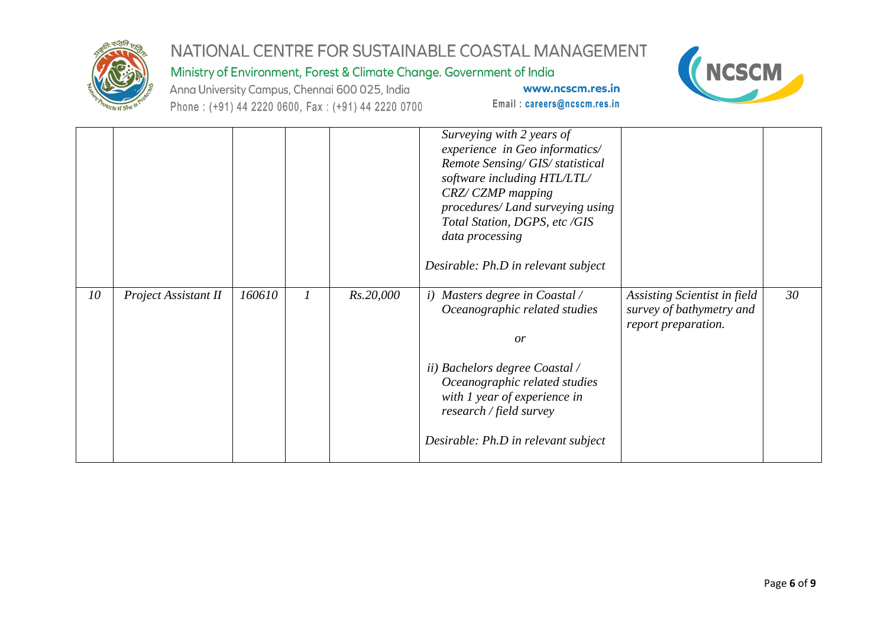

Ministry of Environment, Forest & Climate Change. Government of India

Anna University Campus, Chennai 600 025, India Phone: (+91) 44 2220 0600, Fax: (+91) 44 2220 0700



|    |                      |        |           | Surveying with 2 years of<br>experience in Geo informatics/<br>Remote Sensing/GIS/statistical<br>software including HTL/LTL/<br>CRZ/CZMP mapping<br>procedures/ Land surveying using<br>Total Station, DGPS, etc /GIS<br>data processing<br>Desirable: Ph.D in relevant subject |                                                                                 |    |
|----|----------------------|--------|-----------|---------------------------------------------------------------------------------------------------------------------------------------------------------------------------------------------------------------------------------------------------------------------------------|---------------------------------------------------------------------------------|----|
| 10 | Project Assistant II | 160610 | Rs.20,000 | i) Masters degree in Coastal /<br>Oceanographic related studies<br>or<br>ii) Bachelors degree Coastal /<br>Oceanographic related studies<br>with 1 year of experience in<br>research / field survey<br>Desirable: Ph.D in relevant subject                                      | Assisting Scientist in field<br>survey of bathymetry and<br>report preparation. | 30 |
|    |                      |        |           |                                                                                                                                                                                                                                                                                 |                                                                                 |    |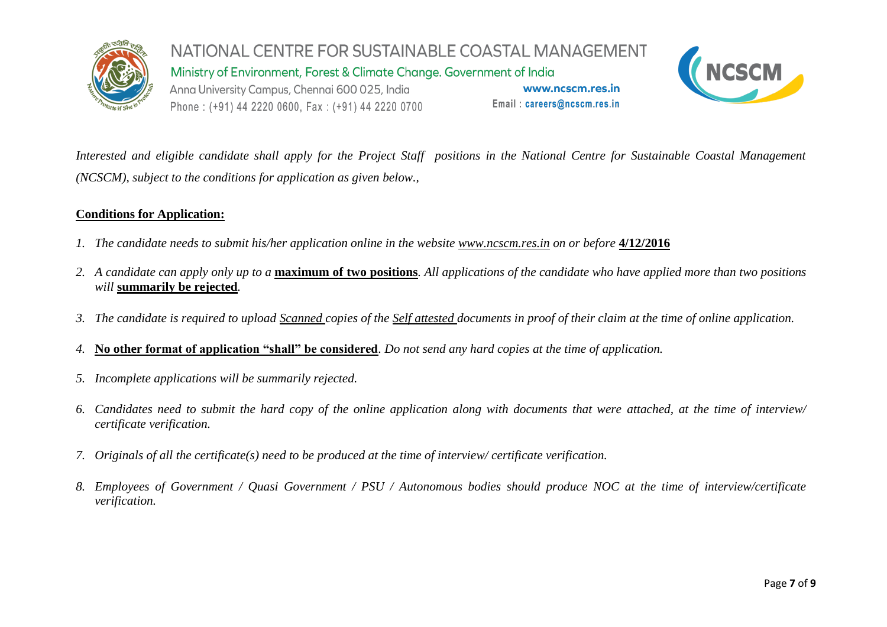

NATIONAL CENTRE FOR SUSTAINABLE COASTAL MANAGEMENT Ministry of Environment, Forest & Climate Change. Government of India Anna University Campus, Chennai 600 025, India www.ncscm.res.in Email: careers@ncscm.res.in Phone: (+91) 44 2220 0600, Fax: (+91) 44 2220 0700



*Interested and eligible candidate shall apply for the Project Staff positions in the National Centre for Sustainable Coastal Management (NCSCM), subject to the conditions for application as given below.,*

#### **Conditions for Application:**

- *1. The candidate needs to submit his/her application online in the website [www.ncscm.res.in](http://www.ncscm.res.in/) on or before* **4/12/2016**
- *2. A candidate can apply only up to a* **maximum of two positions***. All applications of the candidate who have applied more than two positions will* **summarily be rejected***.*
- *3. The candidate is required to upload Scanned copies of the Self attested documents in proof of their claim at the time of online application.*
- *4.* **No other format of application "shall" be considered***. Do not send any hard copies at the time of application.*
- *5. Incomplete applications will be summarily rejected.*
- *6. Candidates need to submit the hard copy of the online application along with documents that were attached, at the time of interview/ certificate verification.*
- *7. Originals of all the certificate(s) need to be produced at the time of interview/ certificate verification.*
- *8. Employees of Government / Quasi Government / PSU / Autonomous bodies should produce NOC at the time of interview/certificate verification.*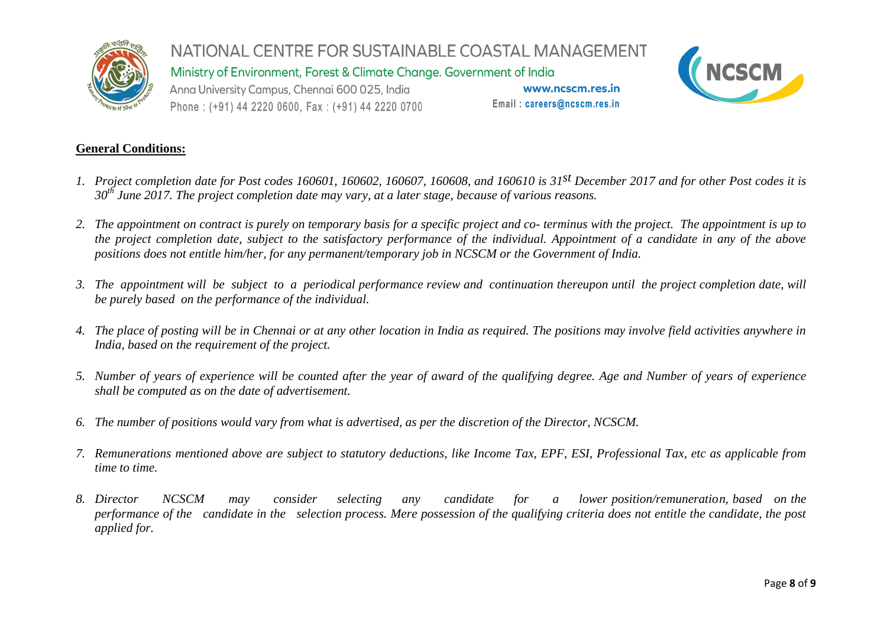

Ministry of Environment, Forest & Climate Change. Government of India

Anna University Campus, Chennai 600 025, India Phone: (+91) 44 2220 0600, Fax: (+91) 44 2220 0700

www.ncscm.res.in Email: careers@ncscm.res.in



#### **General Conditions:**

- *1. Project completion date for Post codes 160601, 160602, 160607, 160608, and 160610 is 31st December 2017 and for other Post codes it is 30th June 2017. The project completion date may vary, at a later stage, because of various reasons.*
- *2. The appointment on contract is purely on temporary basis for a specific project and co- terminus with the project. The appointment is up to the project completion date, subject to the satisfactory performance of the individual. Appointment of a candidate in any of the above positions does not entitle him/her, for any permanent/temporary job in NCSCM or the Government of India.*
- *3. The appointment will be subject to a periodical performance review and continuation thereupon until the project completion date, will be purely based on the performance of the individual.*
- *4. The place of posting will be in Chennai or at any other location in India as required. The positions may involve field activities anywhere in India, based on the requirement of the project.*
- *5. Number of years of experience will be counted after the year of award of the qualifying degree. Age and Number of years of experience shall be computed as on the date of advertisement.*
- *6. The number of positions would vary from what is advertised, as per the discretion of the Director, NCSCM.*
- *7. Remunerations mentioned above are subject to statutory deductions, like Income Tax, EPF, ESI, Professional Tax, etc as applicable from time to time.*
- *8. Director NCSCM may consider selecting any candidate for a lower position/remuneration, based on the performance of the candidate in the selection process. Mere possession of the qualifying criteria does not entitle the candidate, the post applied for.*